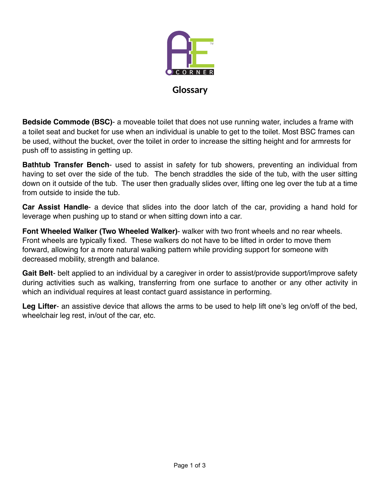

**Glossary** 

**Bedside Commode (BSC)**- a moveable toilet that does not use running water, includes a frame with a toilet seat and bucket for use when an individual is unable to get to the toilet. Most BSC frames can be used, without the bucket, over the toilet in order to increase the sitting height and for armrests for push off to assisting in getting up.

**Bathtub Transfer Bench**- used to assist in safety for tub showers, preventing an individual from having to set over the side of the tub. The bench straddles the side of the tub, with the user sitting down on it outside of the tub. The user then gradually slides over, lifting one leg over the tub at a time from outside to inside the tub.

**Car Assist Handle**- a device that slides into the door latch of the car, providing a hand hold for leverage when pushing up to stand or when sitting down into a car.

**Font Wheeled Walker (Two Wheeled Walker)**- walker with two front wheels and no rear wheels. Front wheels are typically fixed. These walkers do not have to be lifted in order to move them forward, allowing for a more natural walking pattern while providing support for someone with decreased mobility, strength and balance.

**Gait Belt**- belt applied to an individual by a caregiver in order to assist/provide support/improve safety during activities such as walking, transferring from one surface to another or any other activity in which an individual requires at least contact guard assistance in performing.

**Leg Lifter**- an assistive device that allows the arms to be used to help lift one's leg on/off of the bed, wheelchair leg rest, in/out of the car, etc.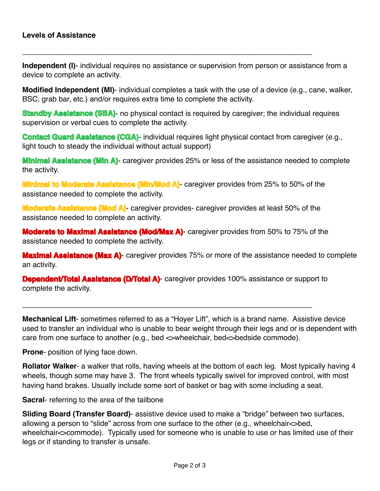**Independent (I)**- individual requires no assistance or supervision from person or assistance from a device to complete an activity.

**\_\_\_\_\_\_\_\_\_\_\_\_\_\_\_\_\_\_\_\_\_\_\_\_\_\_\_\_\_\_\_\_\_\_\_\_\_\_\_\_\_\_\_\_\_\_\_\_\_\_\_\_\_\_\_\_\_\_\_\_**

**Modified Independent (MI)**- individual completes a task with the use of a device (e.g., cane, walker, BSC, grab bar, etc.) and/or requires extra time to complete the activity.

**Standby Assistance (SBA)**- no physical contact is required by caregiver; the individual requires supervision or verbal cues to complete the activity.

**Contact Guard Assistance (CGA)**- individual requires light physical contact from caregiver (e.g., light touch to steady the individual without actual support)

**Minimal Assistance (Min A)**- caregiver provides 25% or less of the assistance needed to complete the activity.

**Minimal to Moderate Assistance (Min/Mod A)**- caregiver provides from 25% to 50% of the assistance needed to complete the activity.

**Moderate Assistance (Mod A)**- caregiver provides- caregiver provides at least 50% of the assistance needed to complete an activity.

**Moderate to Maximal Assistance (Mod/Max A)**- caregiver provides from 50% to 75% of the assistance needed to complete the activity.

**Maximal Assistance (Max A)**- caregiver provides 75% or more of the assistance needed to complete an activity.

**Dependent/Total Assistance (D/Total A)**- caregiver provides 100% assistance or support to complete the activity.

**\_\_\_\_\_\_\_\_\_\_\_\_\_\_\_\_\_\_\_\_\_\_\_\_\_\_\_\_\_\_\_\_\_\_\_\_\_\_\_\_\_\_\_\_\_\_\_\_\_\_\_\_\_\_\_\_\_\_\_\_**

**Mechanical Lift**- sometimes referred to as a "Hoyer Lift", which is a brand name. Assistive device used to transfer an individual who is unable to bear weight through their legs and or is dependent with care from one surface to another (e.g., bed  $\sim$ wheelchair, bed $\sim$ bedside commode).

**Prone**- position of lying face down.

**Rollator Walker**- a walker that rolls, having wheels at the bottom of each leg. Most typically having 4 wheels, though some may have 3. The front wheels typically swivel for improved control, with most having hand brakes. Usually include some sort of basket or bag with some including a seat.

**Sacral**- referring to the area of the tailbone

**Sliding Board (Transfer Board)**- assistive device used to make a "bridge" between two surfaces, allowing a person to "slide" across from one surface to the other (e.g., wheelchair<>bed, wheelchair $\sim$ commode). Typically used for someone who is unable to use or has limited use of their legs or if standing to transfer is unsafe.